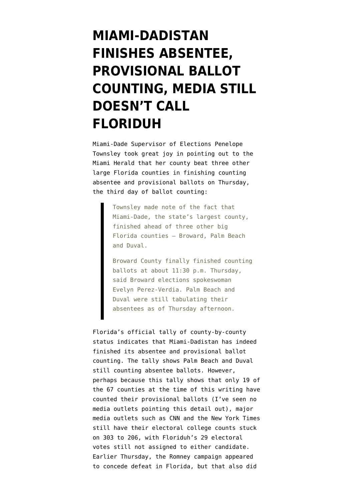## **[MIAMI-DADISTAN](https://www.emptywheel.net/2012/11/09/miami-dadistan-finishes-absentee-provisional-ballot-counting-media-still-doesnt-call-floriduh/) [FINISHES ABSENTEE,](https://www.emptywheel.net/2012/11/09/miami-dadistan-finishes-absentee-provisional-ballot-counting-media-still-doesnt-call-floriduh/) [PROVISIONAL BALLOT](https://www.emptywheel.net/2012/11/09/miami-dadistan-finishes-absentee-provisional-ballot-counting-media-still-doesnt-call-floriduh/) [COUNTING, MEDIA STILL](https://www.emptywheel.net/2012/11/09/miami-dadistan-finishes-absentee-provisional-ballot-counting-media-still-doesnt-call-floriduh/) [DOESN'T CALL](https://www.emptywheel.net/2012/11/09/miami-dadistan-finishes-absentee-provisional-ballot-counting-media-still-doesnt-call-floriduh/) [FLORIDUH](https://www.emptywheel.net/2012/11/09/miami-dadistan-finishes-absentee-provisional-ballot-counting-media-still-doesnt-call-floriduh/)**

Miami-Dade Supervisor of Elections Penelope Townsley took great joy in [pointing out to the](http://www.miamiherald.com/2012/11/08/v-fullstory/3088564/miami-dades-election-count-comes.html) [Miami Herald](http://www.miamiherald.com/2012/11/08/v-fullstory/3088564/miami-dades-election-count-comes.html) that her county beat three other large Florida counties in finishing counting absentee and provisional ballots on Thursday, the third day of ballot counting:

> Townsley made note of the fact that Miami-Dade, the state's largest county, finished ahead of three other big Florida counties — Broward, Palm Beach and Duval.

Broward County finally finished counting ballots at about 11:30 p.m. Thursday, said Broward elections spokeswoman Evelyn Perez-Verdia. Palm Beach and Duval were still tabulating their absentees as of Thursday afternoon.

Florida's official tally of county-by-county status indicates that Miami-Dadistan has indeed finished its absentee and provisional ballot counting. The tally shows Palm Beach and Duval still counting absentee ballots. However, perhaps because this tally shows that only 19 of the 67 counties at the time of this writing have counted their provisional ballots (I've seen no media outlets pointing this detail out), major media outlets such as [CNN](http://www.cnn.com/election/2012/results/main) and the [New York Times](http://elections.nytimes.com/2012/results/president) still have their electoral college counts stuck on 303 to 206, with Floriduh's 29 electoral votes still not assigned to either candidate. Earlier Thursday, the Romney campaign [appeared](http://thecaucus.blogs.nytimes.com/2012/11/08/romney-aide-says-campaign-lost-florida/?ref=politics) [to concede defeat in Florida](http://thecaucus.blogs.nytimes.com/2012/11/08/romney-aide-says-campaign-lost-florida/?ref=politics), but that also did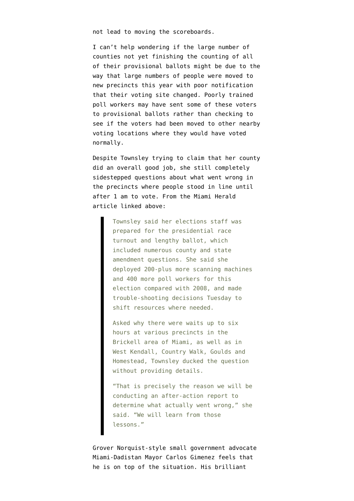not lead to moving the scoreboards.

I can't help wondering if the large number of counties not yet finishing the counting of all of their provisional ballots might be due to the way that [large numbers of people were moved to](http://www.emptywheel.net/2012/08/14/changing-voters-to-new-precincts-with-poor-notification-new-vote-suppression-tactic-in-florida/) [new precincts this year](http://www.emptywheel.net/2012/08/14/changing-voters-to-new-precincts-with-poor-notification-new-vote-suppression-tactic-in-florida/) with poor notification that their voting site changed. Poorly trained poll workers may have sent some of these voters to provisional ballots rather than checking to see if the voters had been moved to other nearby voting locations where they would have voted normally.

Despite Townsley trying to claim that her county did an overall good job, she still completely sidestepped questions about what went wrong in the precincts where people stood in line until after 1 am to vote. From the Miami Herald article linked above:

> Townsley said her elections staff was prepared for the presidential race turnout and lengthy ballot, which included numerous county and state amendment questions. She said she deployed 200-plus more scanning machines and 400 more poll workers for this election compared with 2008, and made trouble-shooting decisions Tuesday to shift resources where needed.

Asked why there were waits up to six hours at various precincts in the Brickell area of Miami, as well as in West Kendall, Country Walk, Goulds and Homestead, Townsley ducked the question without providing details.

"That is precisely the reason we will be conducting an after-action report to determine what actually went wrong," she said. "We will learn from those lessons."

Grover Norquist-style small government advocate Miami-Dadistan Mayor Carlos Gimenez feels that he is on top of the situation. His brilliant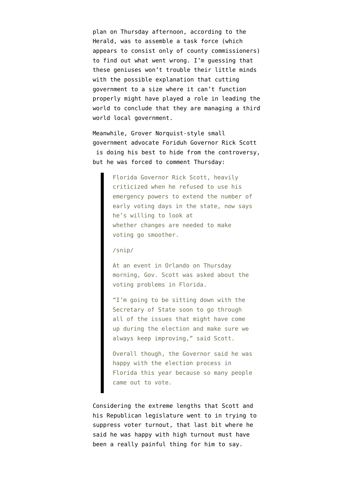plan on Thursday afternoon, according to the Herald, was to assemble a task force (which appears to consist only of county commissioners) to find out what went wrong. I'm guessing that these geniuses won't trouble their little minds with the possible explanation that cutting government to a size where it can't function properly might have played a role in leading the world to conclude that they are managing a third world local government.

Meanwhile, Grover Norquist-style small government advocate Foriduh Governor Rick Scott is doing his best to hide from the controversy, but he was [forced to comment Thursday](http://miami.cbslocal.com/2012/11/08/gov-scott-to-discuss-fla-election-issues-with-sec-of-state/):

> Florida Governor Rick Scott, heavily criticized when he refused to use his emergency powers to extend the number of early voting days in the state, now says he's willing to look at whether changes are needed to make voting go smoother.

/snip/

At an event in Orlando on Thursday morning, Gov. Scott was asked about the voting problems in Florida.

"I'm going to be sitting down with the Secretary of State soon to go through all of the issues that might have come up during the election and make sure we always keep improving," said Scott.

Overall though, the Governor said he was happy with the election process in Florida this year because so many people came out to vote.

Considering the extreme lengths that Scott and his Republican legislature went to in [trying to](http://www.emptywheel.net/2012/11/05/rick-scott-florida-republican-legislature-used-blatantly-partisan-tactics-to-suppress-democratic-votes/) [suppress voter turnout](http://www.emptywheel.net/2012/11/05/rick-scott-florida-republican-legislature-used-blatantly-partisan-tactics-to-suppress-democratic-votes/), that last bit where he said he was happy with high turnout must have been a really painful thing for him to say.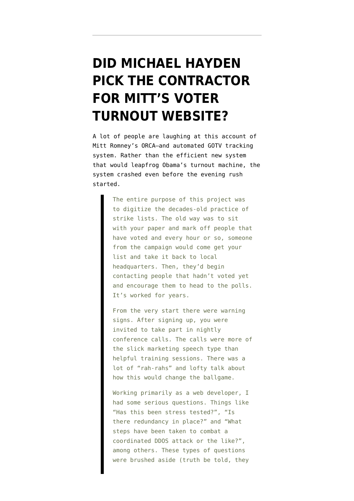#### **[DID MICHAEL HAYDEN](https://www.emptywheel.net/2012/11/09/did-michael-hayden-pick-the-contractor-for-mitts-voter-turnout-website/) [PICK THE CONTRACTOR](https://www.emptywheel.net/2012/11/09/did-michael-hayden-pick-the-contractor-for-mitts-voter-turnout-website/) [FOR MITT'S VOTER](https://www.emptywheel.net/2012/11/09/did-michael-hayden-pick-the-contractor-for-mitts-voter-turnout-website/) [TURNOUT WEBSITE?](https://www.emptywheel.net/2012/11/09/did-michael-hayden-pick-the-contractor-for-mitts-voter-turnout-website/)**

A lot of people are laughing at [this account](http://ace.mu.nu/archives/334783.php) of Mitt Romney's ORCA–and automated GOTV tracking system. Rather than the efficient new system that would leapfrog Obama's turnout machine, the system crashed even before the evening rush started.

> The entire purpose of this project was to digitize the decades-old practice of strike lists. The old way was to sit with your paper and mark off people that have voted and every hour or so, someone from the campaign would come get your list and take it back to local headquarters. Then, they'd begin contacting people that hadn't voted yet and encourage them to head to the polls. It's worked for years.

> From the very start there were warning signs. After signing up, you were invited to take part in nightly conference calls. The calls were more of the slick marketing speech type than helpful training sessions. There was a lot of "rah-rahs" and lofty talk about how this would change the ballgame.

Working primarily as a web developer, I had some serious questions. Things like "Has this been stress tested?", "Is there redundancy in place?" and "What steps have been taken to combat a coordinated DDOS attack or the like?", among others. These types of questions were brushed aside (truth be told, they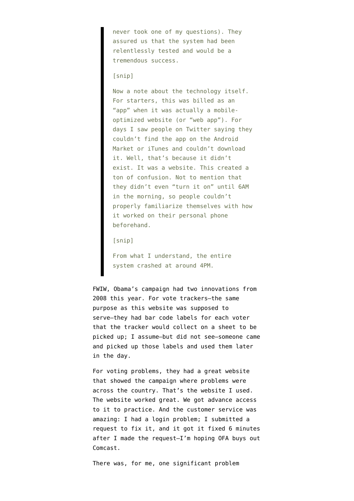never took one of my questions). They assured us that the system had been relentlessly tested and would be a tremendous success.

#### [snip]

Now a note about the technology itself. For starters, this was billed as an "app" when it was actually a mobileoptimized website (or "web app"). For days I saw people on Twitter saying they couldn't find the app on the Android Market or iTunes and couldn't download it. Well, that's because it didn't exist. It was a website. This created a ton of confusion. Not to mention that they didn't even "turn it on" until 6AM in the morning, so people couldn't properly familiarize themselves with how it worked on their personal phone beforehand.

[snip]

From what I understand, the entire system crashed at around 4PM.

FWIW, Obama's campaign had two innovations from 2008 this year. For vote trackers–the same purpose as this website was supposed to serve–they had bar code labels for each voter that the tracker would collect on a sheet to be picked up; I assume–but did not see–someone came and picked up those labels and used them later in the day.

For voting problems, they had a great website that showed the campaign where problems were across the country. That's the website I used. The website worked great. We got advance access to it to practice. And the customer service was amazing: I had a login problem; I submitted a request to fix it, and it got it fixed 6 minutes after I made the request–I'm hoping OFA buys out Comcast.

There was, for me, one significant problem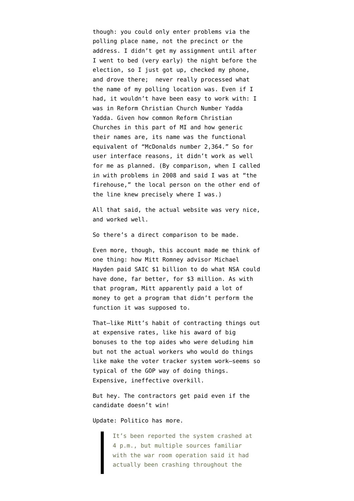though: you could only enter problems via the polling place name, not the precinct or the address. I didn't get my assignment until after I went to bed (very early) the night before the election, so I just got up, checked my phone, and drove there; never really processed what the name of my polling location was. Even if I had, it wouldn't have been easy to work with: I was in Reform Christian Church Number Yadda Yadda. Given how common Reform Christian Churches in this part of MI and how generic their names are, its name was the functional equivalent of "McDonalds number 2,364." So for user interface reasons, it didn't work as well for me as planned. (By comparison, when I called in with problems in 2008 and said I was at "the firehouse," the local person on the other end of the line knew precisely where I was.)

All that said, the actual website was very nice, and worked well.

So there's a direct comparison to be made.

Even more, though, this account made me think of one thing: how [Mitt Romney advisor Michael](http://www.emptywheel.net/2011/05/22/thomas-drake-complained-about-michael-hayden-spending-1b-to-do-what-3m-could-do/) [Hayden paid](http://www.emptywheel.net/2011/05/22/thomas-drake-complained-about-michael-hayden-spending-1b-to-do-what-3m-could-do/) SAIC \$1 billion to do what NSA could have done, far better, for \$3 million. As with that program, Mitt apparently paid a lot of money to get a program that didn't perform the function it was supposed to.

That–like Mitt's habit of contracting things out at expensive rates, like his award of big bonuses to the top aides who were deluding him but not the actual workers who would do things like make the voter tracker system work–seems so typical of the GOP way of doing things. Expensive, ineffective overkill.

But hey. The contractors get paid even if the candidate doesn't win!

Update: Politico [has more.](http://www.politico.com/blogs/burns-haberman/2012/11/romneys-fail-whale-orca-the-votetracker-149098.html)

It's been reported the system crashed at 4 p.m., but multiple sources familiar with the war room operation said it had actually been crashing throughout the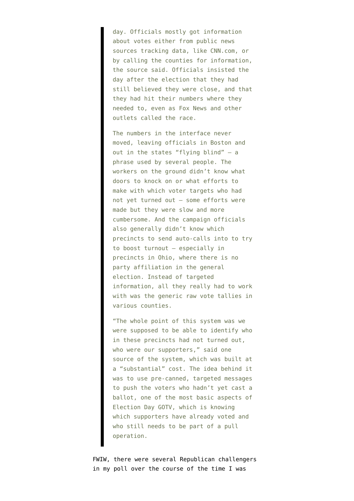day. Officials mostly got information about votes either from public news sources tracking data, like CNN.com, or by calling the counties for information, the source said. Officials insisted the day after the election that they had still believed they were close, and that they had hit their numbers where they needed to, even as Fox News and other outlets called the race.

The numbers in the interface never moved, leaving officials in Boston and out in the states "flying blind" — a phrase used by several people. The workers on the ground didn't know what doors to knock on or what efforts to make with which voter targets who had not yet turned out – some efforts were made but they were slow and more cumbersome. And the campaign officials also generally didn't know which precincts to send auto-calls into to try to boost turnout — especially in precincts in Ohio, where there is no party affiliation in the general election. Instead of targeted information, all they really had to work with was the generic raw vote tallies in various counties.

"The whole point of this system was we were supposed to be able to identify who in these precincts had not turned out, who were our supporters," said one source of the system, which was built at a "substantial" cost. The idea behind it was to use pre-canned, targeted messages to push the voters who hadn't yet cast a ballot, one of the most basic aspects of Election Day GOTV, which is knowing which supporters have already voted and who still needs to be part of a pull operation.

FWIW, there were several Republican challengers in my poll over the course of the time I was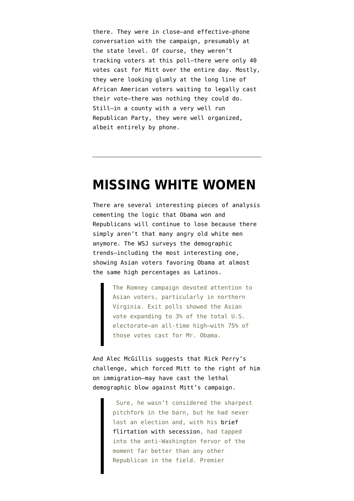there. They were in close–and effective–phone conversation with the campaign, presumably at the state level. Of course, they weren't tracking voters at this poll–there were only 40 votes cast for Mitt over the entire day. Mostly, they were looking glumly at the long line of African American voters waiting to legally cast their vote–there was nothing they could do. Still–in a county with a very well run Republican Party, they were well organized, albeit entirely by phone.

#### **[MISSING WHITE WOMEN](https://www.emptywheel.net/2012/11/08/missing-white-women/)**

There are several interesting pieces of analysis cementing the logic that Obama won and Republicans will continue to lose because there simply aren't that many [angry old white men](http://www.emptywheel.net/2012/11/07/we-are-running-out-of-angry-old-white-men-in-this-country/) [anymore.](http://www.emptywheel.net/2012/11/07/we-are-running-out-of-angry-old-white-men-in-this-country/) The WSJ [surveys](http://online.wsj.com/article/SB10001424127887324073504578105360833569352.html) the demographic trends–including the most interesting one, showing Asian voters favoring Obama at almost the same high percentages as Latinos.

> The Romney campaign devoted attention to Asian voters, particularly in northern Virginia. Exit polls showed the Asian vote expanding to 3% of the total U.S. electorate—an all-time high—with 75% of those votes cast for Mr. Obama.

And Alec McGillis [suggests](http://www.tnr.com/blog/plank/109905/the-revenge-rick-perry) that Rick Perry's challenge, which forced Mitt to the right of him on immigration–may have cast the lethal demographic blow against Mitt's campaign.

> Sure, he wasn't considered the sharpest pitchfork in the barn, but he had never lost an election and, with his [brief](http://www.politifact.com/truth-o-meter/article/2011/aug/18/truth-about-gov-rick-perry-and-secession/) [flirtation with secession](http://www.politifact.com/truth-o-meter/article/2011/aug/18/truth-about-gov-rick-perry-and-secession/), had tapped into the anti-Washington fervor of the moment far better than any other Republican in the field. Premier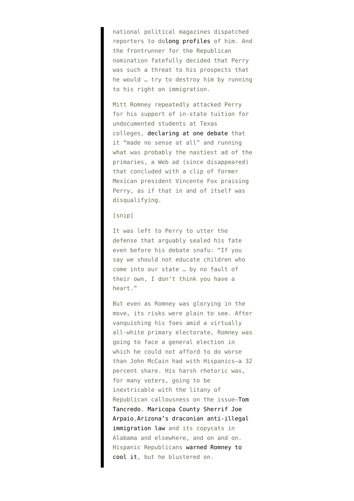national political magazines dispatched reporters to do[long profiles](http://www.tnr.com/article/politics/magazine/95448/rick-perry-texas-economic-development-funds) of him. And the frontrunner for the Republican nomination fatefully decided that Perry was such a threat to his prospects that he would … try to destroy him by running to his right on immigration.

Mitt Romney repeatedly attacked Perry for his support of in-state tuition for undocumented students at Texas colleges, [declaring at one debate](http://usatoday30.usatoday.com/news/politics/story/2011-09-22/gop-debate-florida/50518542/1) that it "made no sense at all" and running what was probably the nastiest ad of the primaries, a Web ad (since disappeared) that concluded with a clip of former Mexican president Vincente Fox praising Perry, as if that in and of itself was disqualifying.

#### [snip]

It was left to Perry to utter the defense that arguably sealed his fate even before his debate snafu: "If you say we should not educate children who come into our state … by no fault of their own, I don't think you have a heart."

But even as Romney was glorying in the move, its risks were plain to see. After vanquishing his foes amid a virtually all-white primary electorate, Romney was going to face a general election in which he could not afford to do worse than John McCain had with Hispanics—a 32 percent share. His harsh rhetoric was, for many voters, going to be inextricable with the litany of Republican callousness on the issue—[Tom](http://www.cfr.org/mexico/tancredo-tough-immigration-reform-essential-maintain-us-identity/p11141) [Tancredo,](http://www.cfr.org/mexico/tancredo-tough-immigration-reform-essential-maintain-us-identity/p11141) [Maricopa County Sherrif Joe](http://www.npr.org/templates/story/story.php?storyId=88002493) [Arpaio,](http://www.npr.org/templates/story/story.php?storyId=88002493)[Arizona's draconian anti-illegal](http://topics.nytimes.com/top/reference/timestopics/subjects/i/immigration-and-emigration/arizona-immigration-law-sb-1070/index.html) [immigration law](http://topics.nytimes.com/top/reference/timestopics/subjects/i/immigration-and-emigration/arizona-immigration-law-sb-1070/index.html) and its copycats in Alabama and elsewhere, and on and on. Hispanic Republicans [warned Romney to](http://www.huffingtonpost.com/2012/08/30/mel-martinez-warns-latino-vote-gop-minority-party_n_1844154.html) [cool it,](http://www.huffingtonpost.com/2012/08/30/mel-martinez-warns-latino-vote-gop-minority-party_n_1844154.html) but he blustered on.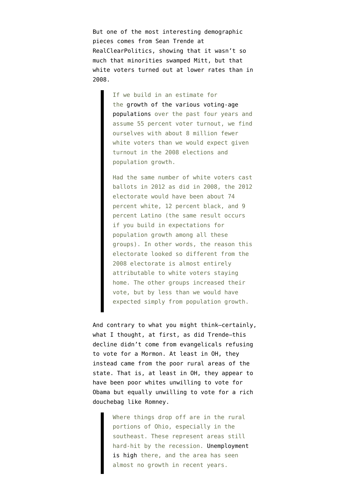But one of the most interesting demographic pieces comes from Sean Trende at RealClearPolitics, [showing](http://www.realclearpolitics.com/articles/2012/11/08/the_case_of_the_missing_white_voters_116106.html) that it wasn't so much that minorities swamped Mitt, but that white voters turned out at lower rates than in 2008.

> If we build in an estimate for the [growth of the various voting-age](http://www.census.gov/popest/data/intercensal/national/nat2010.html) [populations](http://www.census.gov/popest/data/intercensal/national/nat2010.html) over the past four years and assume 55 percent voter turnout, we find ourselves with about 8 million fewer white voters than we would expect given turnout in the 2008 elections and population growth.

> Had the same number of white voters cast ballots in 2012 as did in 2008, the 2012 electorate would have been about 74 percent white, 12 percent black, and 9 percent Latino (the same result occurs if you build in expectations for population growth among all these groups). In other words, the reason this electorate looked so different from the 2008 electorate is almost entirely attributable to white voters staying home. The other groups increased their vote, but by less than we would have expected simply from population growth.

And contrary to what you might think–certainly, what I thought, at first, as did Trende–this decline didn't come from evangelicals refusing to vote for a Mormon. At least in OH, they instead came from the poor rural areas of the state. That is, at least in OH, they appear to have been poor whites unwilling to vote for Obama but equally unwilling to vote for a rich douchebag like Romney.

> Where things drop off are in the rural portions of Ohio, especially in the southeast. These represent areas still hard-hit by the recession. [Unemployment](http://ohiolmi.com/laus/ColorRateMap.pdf) [is high](http://ohiolmi.com/laus/ColorRateMap.pdf) there, and the area has seen almost no growth in recent years.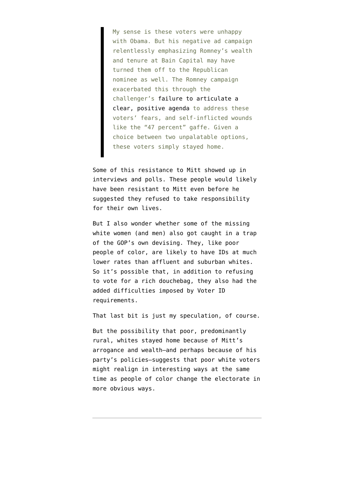My sense is these voters were unhappy with Obama. But his negative ad campaign relentlessly emphasizing Romney's wealth and tenure at Bain Capital may have turned them off to the Republican nominee as well. The Romney campaign exacerbated this through the challenger's [failure to articulate a](http://www.realclearpolitics.com/articles/2012/07/25/to_move_polls_romney_needs_to_go_positive_114903.html) [clear, positive agenda](http://www.realclearpolitics.com/articles/2012/07/25/to_move_polls_romney_needs_to_go_positive_114903.html) to address these voters' fears, and self-inflicted wounds like the "47 percent" gaffe. Given a choice between two unpalatable options, these voters simply stayed home.

Some of this resistance to Mitt showed up in interviews and polls. These people would likely have been resistant to Mitt even before he suggested they refused to take responsibility for their own lives.

But I also wonder whether some of the missing white women (and men) also got caught in a trap of the GOP's own devising. They, like poor people of color, are likely to have IDs at much lower rates than affluent and suburban whites. So it's possible that, in addition to refusing to vote for a rich douchebag, they also had the added difficulties imposed by Voter ID requirements.

That last bit is just my speculation, of course.

But the possibility that poor, predominantly rural, whites stayed home because of Mitt's arrogance and wealth–and perhaps because of his party's policies–suggests that poor white voters might realign in interesting ways at the same time as people of color change the electorate in more obvious ways.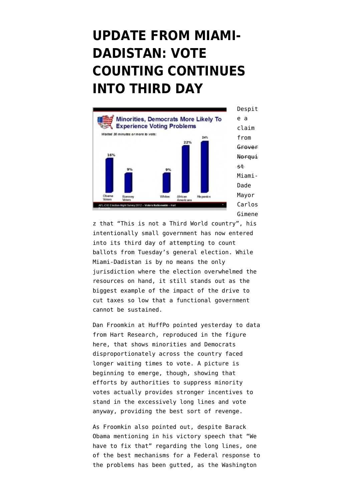### **[UPDATE FROM MIAMI-](https://www.emptywheel.net/2012/11/08/update-from-miami-dadistan-vote-counting-continues-into-third-day/)[DADISTAN: VOTE](https://www.emptywheel.net/2012/11/08/update-from-miami-dadistan-vote-counting-continues-into-third-day/) [COUNTING CONTINUES](https://www.emptywheel.net/2012/11/08/update-from-miami-dadistan-vote-counting-continues-into-third-day/) [INTO THIRD DAY](https://www.emptywheel.net/2012/11/08/update-from-miami-dadistan-vote-counting-continues-into-third-day/)**



z that "This is not a Third World country", his [intentionally small government](http://www.emptywheel.net/2012/11/07/miami-dade-republican-mayor-gimenez-shrinks-government-so-small-it-cant-conduct-election/) has now [entered](http://www.miamiherald.com/2012/11/07/v-fullstory/3086920/absentee-ballots-voting-delays.html) [into its third day of attempting to count](http://www.miamiherald.com/2012/11/07/v-fullstory/3086920/absentee-ballots-voting-delays.html) [ballots](http://www.miamiherald.com/2012/11/07/v-fullstory/3086920/absentee-ballots-voting-delays.html) from Tuesday's general election. While Miami-Dadistan is by no means the only jurisdiction where the election overwhelmed the resources on hand, it still stands out as the biggest example of the impact of the drive to cut taxes so low that a functional government cannot be sustained.

Dan Froomkin at HuffPo [pointed yesterday](http://www.huffingtonpost.com/2012/11/07/obama-long-lines-polls_n_2086291.html) to [data](https://docs.google.com/presentation/d/1TGQPrvxJ5ODgSPf4CL-aS1HKVmrzM4UF70gso4IUa1o/edit#slide=id.p69) [from Hart Research,](https://docs.google.com/presentation/d/1TGQPrvxJ5ODgSPf4CL-aS1HKVmrzM4UF70gso4IUa1o/edit#slide=id.p69) reproduced in the figure here, that shows minorities and Democrats disproportionately across the country faced longer waiting times to vote. A picture is beginning to emerge, though, showing that efforts by authorities to suppress minority votes actually provides stronger incentives to stand in the excessively long lines and vote anyway, providing the best sort of revenge.

As Froomkin also pointed out, despite Barack Obama mentioning in his victory speech that "We have to fix that" regarding the long lines, one of the best mechanisms for a Federal response to the problems has been gutted, as the Washington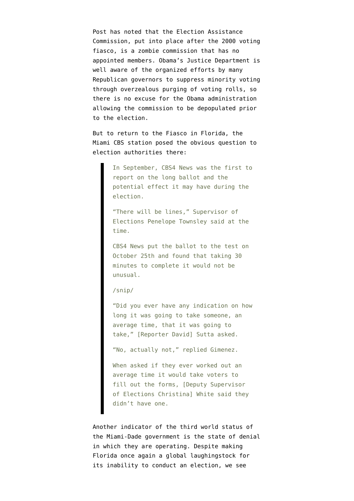Post has noted that the Election Assistance Commission, put into place after the 2000 voting fiasco, is a [zombie commission](http://www.washingtonpost.com/blogs/in-the-loop/post/a-zombie-voting-commission/2012/09/10/d299df0a-fb52-11e1-b2af-1f7d12fe907a_blog.html) that has no appointed members. Obama's Justice Department is well aware of the organized efforts by many Republican governors to suppress minority voting through overzealous purging of voting rolls, so there is no excuse for the Obama administration allowing the commission to be depopulated prior to the election.

But to return to the Fiasco in Florida, the [Miami CBS station](http://miami.cbslocal.com/2012/11/07/additional-planning-may-have-eased-election-day-delays/) posed the obvious question to election authorities there:

> In September, CBS4 News was the first to report on the long ballot and the potential effect it may have during the election.

"There will be lines," Supervisor of Elections Penelope Townsley said at the time.

CBS4 News put the ballot to the test on October 25th and found that taking 30 minutes to complete it would not be unusual.

/snip/

"Did you ever have any indication on how long it was going to take someone, an average time, that it was going to take," [Reporter David] Sutta asked.

"No, actually not," replied Gimenez.

When asked if they ever worked out an average time it would take voters to fill out the forms, [Deputy Supervisor of Elections Christina] White said they didn't have one.

Another indicator of the third world status of the Miami-Dade government is the state of denial in which they are operating. Despite making Florida once again a global laughingstock for its inability to conduct an election, we see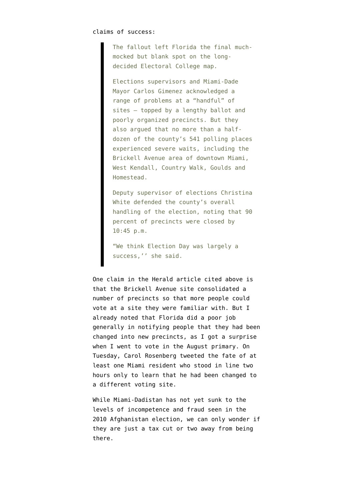The fallout left Florida the final muchmocked but blank spot on the longdecided Electoral College map.

Elections supervisors and Miami-Dade Mayor Carlos Gimenez acknowledged a range of problems at a "handful" of sites — topped by a lengthy ballot and poorly organized precincts. But they also argued that no more than a halfdozen of the county's 541 polling places experienced severe waits, including the Brickell Avenue area of downtown Miami, West Kendall, Country Walk, Goulds and Homestead.

Deputy supervisor of elections Christina White defended the county's overall handling of the election, noting that 90 percent of precincts were closed by 10:45 p.m.

"We think Election Day was largely a success,'' she said.

One claim in the Herald article cited above is that the Brickell Avenue site consolidated a number of precincts so that more people could vote at a site they were familiar with. But I already noted that Florida did a poor job generally in notifying people that they had been changed into new precincts, as I got a surprise [when I went to vote in the August primary.](http://www.emptywheel.net/2012/08/14/changing-voters-to-new-precincts-with-poor-notification-new-vote-suppression-tactic-in-florida/) On Tuesday, [Carol Rosenberg tweeted](https://twitter.com/carolrosenberg/status/265862819797409792) the fate of at least one Miami resident who stood in line two hours only to learn that he had been changed to a different voting site.

While Miami-Dadistan has not yet sunk to the levels of incompetence and fraud seen in the [2010 Afghanistan election,](http://www.nytimes.com/2010/10/18/world/asia/18kabul.html?pagewanted=all&_r=0) we can only wonder if they are just a tax cut or two away from being there.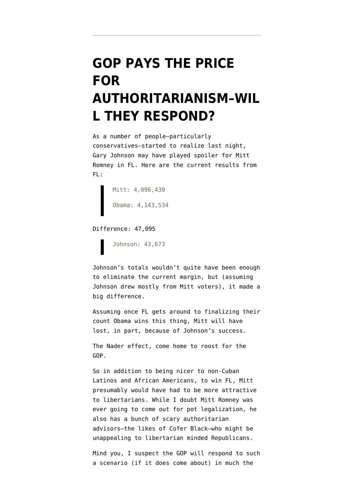## **[GOP PAYS THE PRICE](https://www.emptywheel.net/2012/11/07/gop-pays-the-price-for-authoritarianism-will-they-respond/) [FOR](https://www.emptywheel.net/2012/11/07/gop-pays-the-price-for-authoritarianism-will-they-respond/) [AUTHORITARIANISM–WIL](https://www.emptywheel.net/2012/11/07/gop-pays-the-price-for-authoritarianism-will-they-respond/) [L THEY RESPOND?](https://www.emptywheel.net/2012/11/07/gop-pays-the-price-for-authoritarianism-will-they-respond/)**

As a number of people[–particularly](http://www.freerepublic.com/focus/f-news/2956105/posts) [conservatives](http://www.freerepublic.com/focus/f-news/2956105/posts)–started to realize last night, Gary Johnson may have played spoiler for Mitt Romney in FL. Here are the [current results](http://enight.elections.myflorida.com/FederalOffices/President/) from FL:

Mitt: 4,096,439 Obama: 4,143,534

Difference: 47,095

Johnson: 43,673

Johnson's totals wouldn't quite have been enough to eliminate the current margin, but (assuming Johnson drew mostly from Mitt voters), it made a big difference.

Assuming once FL [gets around to finalizing their](http://www.emptywheel.net/2012/11/07/miami-dade-republican-mayor-gimenez-shrinks-government-so-small-it-cant-conduct-election/) [count](http://www.emptywheel.net/2012/11/07/miami-dade-republican-mayor-gimenez-shrinks-government-so-small-it-cant-conduct-election/) Obama wins this thing, Mitt will have lost, in part, because of Johnson's success.

The Nader effect, come home to roost for the GOP.

So in addition to being nicer to non-Cuban Latinos and African Americans, to win FL, Mitt presumably would have had to be more attractive to libertarians. While I doubt Mitt Romney was ever going to come out for pot legalization, he also has a bunch of scary authoritarian advisors–the likes of Cofer Black–who might be unappealing to libertarian minded Republicans.

Mind you, I suspect the GOP will respond to such a scenario (if it does come about) in much the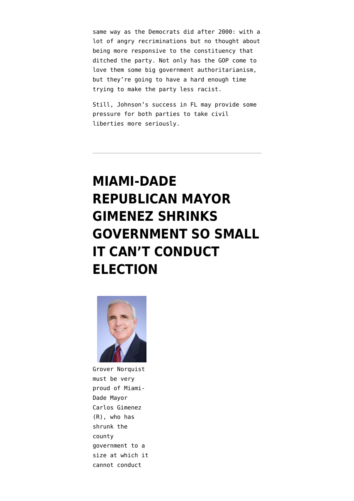same way as the Democrats did after 2000: with a lot of angry recriminations but no thought about being more responsive to the constituency that ditched the party. Not only has the GOP come to love them some big government authoritarianism, but they're going to have a hard enough time trying to make the party less racist.

Still, Johnson's success in FL may provide some pressure for both parties to take civil liberties more seriously.

## **[MIAMI-DADE](https://www.emptywheel.net/2012/11/07/miami-dade-republican-mayor-gimenez-shrinks-government-so-small-it-cant-conduct-election/) [REPUBLICAN MAYOR](https://www.emptywheel.net/2012/11/07/miami-dade-republican-mayor-gimenez-shrinks-government-so-small-it-cant-conduct-election/) [GIMENEZ SHRINKS](https://www.emptywheel.net/2012/11/07/miami-dade-republican-mayor-gimenez-shrinks-government-so-small-it-cant-conduct-election/) [GOVERNMENT SO SMALL](https://www.emptywheel.net/2012/11/07/miami-dade-republican-mayor-gimenez-shrinks-government-so-small-it-cant-conduct-election/) [IT CAN'T CONDUCT](https://www.emptywheel.net/2012/11/07/miami-dade-republican-mayor-gimenez-shrinks-government-so-small-it-cant-conduct-election/) [ELECTION](https://www.emptywheel.net/2012/11/07/miami-dade-republican-mayor-gimenez-shrinks-government-so-small-it-cant-conduct-election/)**



Grover Norquist must be very proud of Miami-Dade Mayor Carlos Gimenez (R), who has shrunk the county government to a size at which it cannot conduct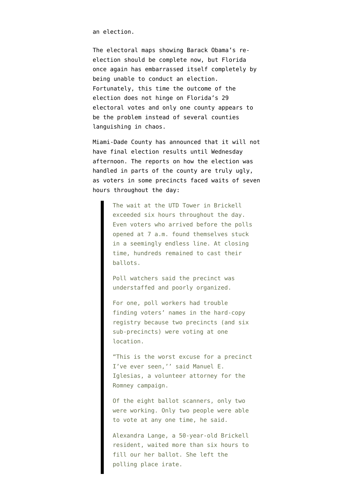an election.

The electoral maps showing Barack Obama's reelection should be complete now, but Florida once again has embarrassed itself completely by being unable to conduct an election. Fortunately, this time the outcome of the election does not hinge on Florida's 29 electoral votes and only one county appears to be the problem instead of several counties languishing in chaos.

Miami-Dade County has announced that it will not have final election results until Wednesday afternoon. The [reports on how the election was](http://www.miamiherald.com/2012/11/06/v-fullstory/3084088/polls-open-in-south-florida.html) [handled in parts of the county are truly ugly](http://www.miamiherald.com/2012/11/06/v-fullstory/3084088/polls-open-in-south-florida.html), as voters in some precincts faced waits of seven hours throughout the day:

> The wait at the UTD Tower in Brickell exceeded six hours throughout the day. Even voters who arrived before the polls opened at 7 a.m. found themselves stuck in a seemingly endless line. At closing time, hundreds remained to cast their ballots.

Poll watchers said the precinct was understaffed and poorly organized.

For one, poll workers had trouble finding voters' names in the hard-copy registry because two precincts (and six sub-precincts) were voting at one location.

"This is the worst excuse for a precinct I've ever seen,'' said Manuel E. Iglesias, a volunteer attorney for the Romney campaign.

Of the eight ballot scanners, only two were working. Only two people were able to vote at any one time, he said.

Alexandra Lange, a 50-year-old Brickell resident, waited more than six hours to fill our her ballot. She left the polling place irate.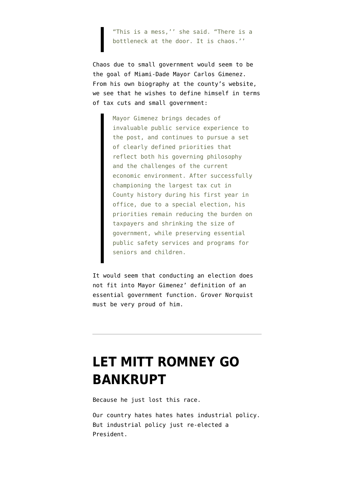"This is a mess,'' she said. "There is a bottleneck at the door. It is chaos.''

Chaos due to small government would seem to be the goal of Miami-Dade Mayor Carlos Gimenez. From [his own biography at the county's website,](http://www.miamidade.gov/biographies/mayor.asp) we see that he wishes to define himself in terms of tax cuts and small government:

> Mayor Gimenez brings decades of invaluable public service experience to the post, and continues to pursue a set of clearly defined priorities that reflect both his governing philosophy and the challenges of the current economic environment. After successfully championing the largest tax cut in County history during his first year in office, due to a special election, his priorities remain reducing the burden on taxpayers and shrinking the size of government, while preserving essential public safety services and programs for seniors and children.

It would seem that conducting an election does not fit into Mayor Gimenez' definition of an essential government function. Grover Norquist must be very proud of him.

#### **[LET MITT ROMNEY GO](https://www.emptywheel.net/2012/11/06/let-mitt-romney-go-bankrupt/) [BANKRUPT](https://www.emptywheel.net/2012/11/06/let-mitt-romney-go-bankrupt/)**

Because he just lost this race.

Our country hates hates hates industrial policy. But industrial policy just re-elected a President.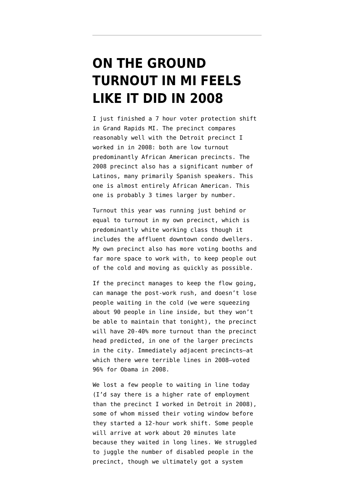#### **[ON THE GROUND](https://www.emptywheel.net/2012/11/06/on-the-ground-turnout-in-mi-feels-like-it-did-in-2008/) [TURNOUT IN MI FEELS](https://www.emptywheel.net/2012/11/06/on-the-ground-turnout-in-mi-feels-like-it-did-in-2008/) [LIKE IT DID IN 2008](https://www.emptywheel.net/2012/11/06/on-the-ground-turnout-in-mi-feels-like-it-did-in-2008/)**

I just finished a 7 hour voter protection shift in Grand Rapids MI. The precinct compares reasonably well with the Detroit precinct I worked in in 2008: both are low turnout predominantly African American precincts. The 2008 precinct also has a significant number of Latinos, many primarily Spanish speakers. This one is almost entirely African American. This one is probably 3 times larger by number.

Turnout this year was running just behind or equal to turnout in my own precinct, which is predominantly white working class though it includes the affluent downtown condo dwellers. My own precinct also has more voting booths and far more space to work with, to keep people out of the cold and moving as quickly as possible.

If the precinct manages to keep the flow going, can manage the post-work rush, and doesn't lose people waiting in the cold (we were squeezing about 90 people in line inside, but they won't be able to maintain that tonight), the precinct will have 20-40% more turnout than the precinct head predicted, in one of the larger precincts in the city. Immediately adjacent precincts–at which there were terrible lines in 2008–voted 96% for Obama in 2008.

We lost a few people to waiting in line today (I'd say there is a higher rate of employment than the precinct I worked in Detroit in 2008), some of whom missed their voting window before they started a 12-hour work shift. Some people will arrive at work about 20 minutes late because they waited in long lines. We struggled to juggle the number of disabled people in the precinct, though we ultimately got a system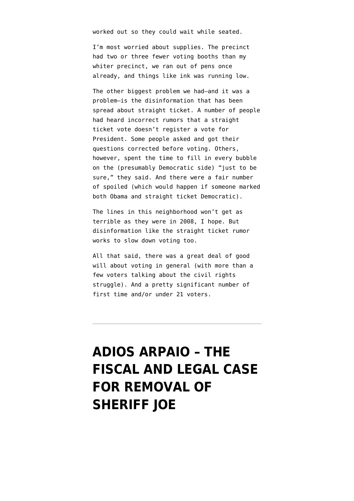worked out so they could wait while seated.

I'm most worried about supplies. The precinct had two or three fewer voting booths than my whiter precinct, we ran out of pens once already, and things like ink was running low.

The other biggest problem we had–and it was a problem–is the disinformation that has been spread about straight ticket. A number of people had heard incorrect rumors that a straight ticket vote doesn't register a vote for President. Some people asked and got their questions corrected before voting. Others, however, spent the time to fill in every bubble on the (presumably Democratic side) "just to be sure," they said. And there were a fair number of spoiled (which would happen if someone marked both Obama and straight ticket Democratic).

The lines in this neighborhood won't get as terrible as they were in 2008, I hope. But disinformation like the straight ticket rumor works to slow down voting too.

All that said, there was a great deal of good will about voting in general (with more than a few voters talking about the civil rights struggle). And a pretty significant number of first time and/or under 21 voters.

## **[ADIOS ARPAIO – THE](https://www.emptywheel.net/2012/11/05/adios-arpaio-the-fiscal-and-legal-case-for-removal-of-sheriff-joe/) [FISCAL AND LEGAL CASE](https://www.emptywheel.net/2012/11/05/adios-arpaio-the-fiscal-and-legal-case-for-removal-of-sheriff-joe/) [FOR REMOVAL OF](https://www.emptywheel.net/2012/11/05/adios-arpaio-the-fiscal-and-legal-case-for-removal-of-sheriff-joe/) [SHERIFF JOE](https://www.emptywheel.net/2012/11/05/adios-arpaio-the-fiscal-and-legal-case-for-removal-of-sheriff-joe/)**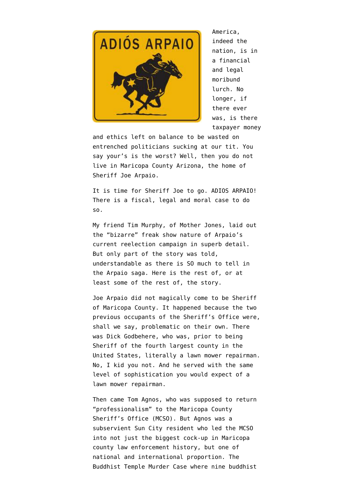

America, indeed the nation, is in a financial and legal moribund lurch. No longer, if there ever was, is there taxpayer money

and ethics left on balance to be wasted on entrenched politicians sucking at our tit. You say your's is the worst? Well, then you do not live in Maricopa County Arizona, the home of Sheriff Joe Arpaio.

It is time for Sheriff Joe to go. [ADIOS ARPAIO!](http://www.adiosarpaio.com/) There is a fiscal, legal and moral case to do so.

My friend [Tim Murphy, of Mother Jones](http://www.motherjones.com/politics/2012/11/sheriff-joe-arpaio-paul-penzone-election-steven-seagal), laid out the "bizarre" freak show nature of Arpaio's current reelection campaign in superb detail. But only part of the story was told, understandable as there is SO much to tell in the Arpaio saga. Here is the rest of, or at least some of the rest of, the story.

Joe Arpaio did not magically come to be Sheriff of Maricopa County. It happened because the two previous occupants of the Sheriff's Office were, shall we say, problematic on their own. There was Dick Godbehere, who was, prior to being Sheriff of the fourth largest county in the United States, literally a [lawn mower repairman.](http://www.phoenixnewtimes.com/1993-11-24/news/what-part-of-a-horse-s-anatomy-is-joe-arpaio/) No, I kid you not. And he served with the same level of sophistication you would expect of a lawn mower repairman.

Then came Tom Agnos, who was supposed to return "professionalism" to the Maricopa County Sheriff's Office (MCSO). But Agnos was a subservient Sun City resident who led the MCSO into not just the biggest cock-up in Maricopa county law enforcement history, but one of national and international proportion. The [Buddhist Temple Murder Case](http://www.trutv.com/library/crime/criminal_mind/forensics/buddhist_temple/index.html) where nine buddhist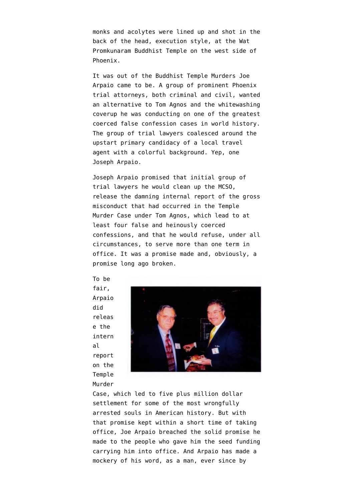monks and acolytes were lined up and shot in the back of the head, execution style, at the Wat Promkunaram Buddhist Temple on the west side of Phoenix.

It was out of the Buddhist Temple Murders Joe Arpaio came to be. A group of prominent Phoenix trial attorneys, both criminal and civil, wanted an alternative to Tom Agnos and the whitewashing coverup he was conducting on one of the [greatest](http://www.azcentral.com/arizonarepublic/local/articles/2011/08/14/20110814buddhist-temple-murders-west-valley-impact.html) [coerced false confession cases in world history.](http://www.azcentral.com/arizonarepublic/local/articles/2011/08/14/20110814buddhist-temple-murders-west-valley-impact.html) The group of trial lawyers coalesced around the upstart primary candidacy of a local travel agent with a colorful background. Yep, one Joseph Arpaio.

Joseph Arpaio promised that initial group of trial lawyers he would clean up the MCSO, release the damning internal report of the gross misconduct that had occurred in the Temple Murder Case under Tom Agnos, which lead to at least four false and heinously coerced confessions, and that he would refuse, under all circumstances, to serve more than one term in office. It was a promise made and, obviously, a promise long ago broken.

fair, Arpaio did releas e the intern al report on the Temple Murder

To be



Case, which led to five plus million dollar settlement for some of the most wrongfully arrested souls in American history. But with that promise kept within a short time of taking office, Joe Arpaio breached the solid promise he made to the people who gave him the seed funding carrying him into office. And Arpaio has made a mockery of his word, as a man, ever since by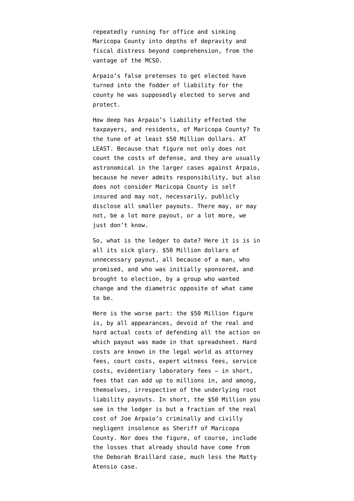repeatedly running for office and sinking Maricopa County into depths of depravity and fiscal distress beyond comprehension, from the vantage of the MCSO.

Arpaio's false pretenses to get elected have turned into the fodder of liability for the county he was supposedly elected to serve and protect.

How deep has Arpaio's liability effected the taxpayers, and residents, of Maricopa County? To the tune of [at least \\$50 Million dollars.](http://www.emptywheel.net/wp-content/uploads/2012/11/HeinousLossesDueToArpaio.pdf) AT LEAST. Because that figure not only does not count the costs of defense, and they are usually astronomical in the larger cases against Arpaio, because he never admits responsibility, but also does not consider Maricopa County is self insured and may not, necessarily, publicly disclose all smaller payouts. There may, or may not, be a lot more payout, or a lot more, we just don't know.

So, what is the ledger to date? Here it is is in all its sick glory. [\\$50 Million dollars of](http://www.emptywheel.net/wp-content/uploads/2012/11/HeinousLossesDueToArpaio.pdf) [unnecessary payout,](http://www.emptywheel.net/wp-content/uploads/2012/11/HeinousLossesDueToArpaio.pdf) all because of a man, who promised, and who was initially sponsored, and brought to election, by a group who wanted change and the diametric opposite of what came to be.

Here is the worse part: the [\\$50 Million figure](http://www.emptywheel.net/wp-content/uploads/2012/11/HeinousLossesDueToArpaio.pdf) is, by all appearances, devoid of the real and hard actual costs of defending all the action on which payout was made in that spreadsheet. Hard costs are known in the legal world as attorney fees, court costs, expert witness fees, service costs, evidentiary laboratory fees – in short, fees that can add up to millions in, and among, themselves, irrespective of the underlying root liability payouts. In short, the [\\$50 Million](http://www.emptywheel.net/wp-content/uploads/2012/11/HeinousLossesDueToArpaio.pdf) you see in the ledger is but a fraction of the real cost of Joe Arpaio's criminally and civilly negligent insolence as Sheriff of Maricopa County. Nor does the figure, of course, include the losses that already should have come from the [Deborah Braillard case,](http://www.phoenixnewtimes.com/2010-12-09/news/what-s-mom-worth-when-a-woman-became-deathly-ill-in-sheriff-joe-arpaio-s-cells-guards-and-nurses-ignored-her-agony/) much less the [Matty](http://tpmmuckraker.talkingpointsmemo.com/2012/06/joe_arpaio_ernest_marty_atencio_autopsy_report.php) [Atensio case](http://tpmmuckraker.talkingpointsmemo.com/2012/06/joe_arpaio_ernest_marty_atencio_autopsy_report.php).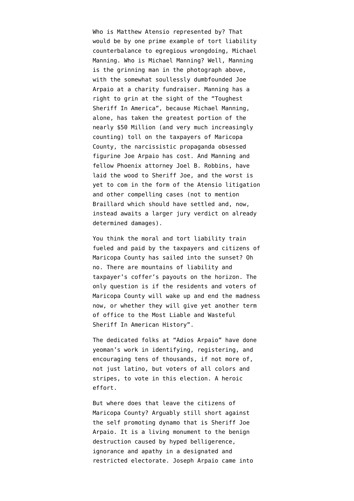Who is Matthew Atensio represented by? That would be by one prime example of tort liability counterbalance to egregious wrongdoing, Michael Manning. Who is Michael Manning? Well, Manning is the grinning man in the photograph above, with the somewhat soullessly dumbfounded Joe Arpaio at a charity fundraiser. Manning has a right to grin at the sight of the "Toughest Sheriff In America", because Michael Manning, alone, has taken the greatest portion of the nearly [\\$50 Million \(and very much increasingly](http://www.emptywheel.net/wp-content/uploads/2012/11/HeinousLossesDueToArpaio.pdf) [counting\)](http://www.emptywheel.net/wp-content/uploads/2012/11/HeinousLossesDueToArpaio.pdf) toll on the taxpayers of Maricopa County, the narcissistic propaganda obsessed figurine Joe Arpaio has cost. And Manning and fellow Phoenix attorney Joel B. Robbins, have laid the wood to Sheriff Joe, and the worst is yet to com in the form of [the Atensio litigation](http://blogs.phoenixnewtimes.com/bastard/2012/10/joe_arpaios_us_veteran_victim.php) and other compelling cases (not to mention Braillard which should have settled and, now, instead awaits a larger jury verdict on already determined damages).

You think the moral and tort liability train fueled and paid by the taxpayers and citizens of Maricopa County has sailed into the sunset? Oh no. There are mountains of liability and taxpayer's coffer's payouts on the horizon. The only question is if the residents and voters of Maricopa County will wake up and end the madness now, or whether they will give yet another term of office to the Most Liable and Wasteful Sheriff In American History".

The dedicated folks at "Adios Arpaio" have done yeoman's work in identifying, registering, and encouraging tens of thousands, if not more of, not just latino, but voters of all colors and stripes, to vote in this election. A heroic effort.

But where does that leave the citizens of Maricopa County? Arguably still short against the self promoting dynamo that is Sheriff Joe Arpaio. It is a living monument to the benign destruction caused by hyped belligerence, ignorance and apathy in a designated and restricted electorate. Joseph Arpaio came into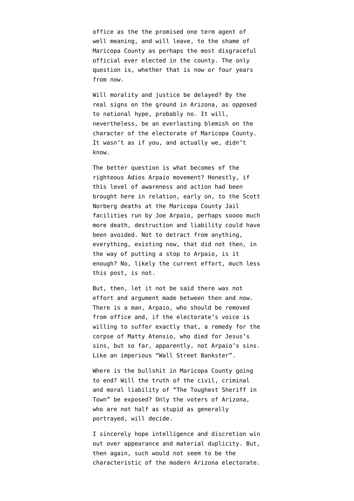office as the the promised one term agent of well meaning, and will leave, to the shame of Maricopa County as perhaps the most disgraceful official ever elected in the county. The only question is, whether that is now or four years from now.

Will morality and justice be delayed? By the real signs on the ground in Arizona, as opposed to national hype, probably no. It will, nevertheless, be an everlasting blemish on the character of the electorate of Maricopa County. It wasn't as if you, and actually we, didn't know.

The better question is what becomes of the righteous Adios Arpaio movement? Honestly, if this level of awareness and action had been brought here in relation, early on, to the Scott Norberg deaths at the Maricopa County Jail facilities run by Joe Arpaio, perhaps soooo much more death, destruction and liability could have been avoided. Not to detract from anything, everything, existing now, that did not then, in the way of putting a stop to Arpaio, is it enough? No, likely the current effort, much less this post, is not.

But, then, let it not be said there was not effort and argument made between then and now. There is a man, Arpaio, who should be removed from office and, if the electorate's voice is willing to suffer exactly that, a remedy for the corpse of Matty Atensio, who [died for Jesus's](http://www.youtube.com/watch?v=xxygqSTO1lQ) [sins](http://www.youtube.com/watch?v=xxygqSTO1lQ), but so far, apparently, not Arpaio's sins. Like an imperious "Wall Street Bankster".

Where is the bullshit in Maricopa County going to end? Will the truth of the civil, criminal and moral liability of "The Toughest Sheriff in Town" be exposed? Only the voters of Arizona, who are not half as stupid as generally portrayed, will decide.

I sincerely hope intelligence and discretion win out over appearance and material duplicity. But, then again, such would not seem to be the characteristic of the modern Arizona electorate.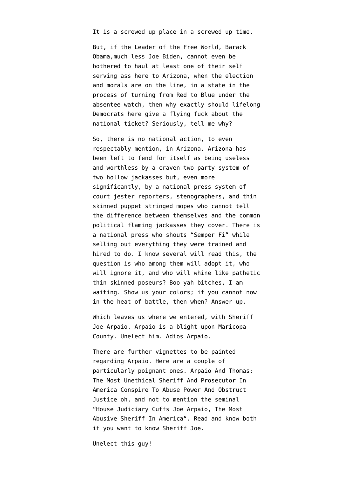It is a screwed up place in a screwed up time.

But, if the Leader of the Free World, Barack Obama,much less Joe Biden, cannot even be bothered to haul at least one of their self serving ass here to Arizona, when the election and morals are on the line, in a state in the process of turning from Red to Blue under the absentee watch, then why exactly should lifelong Democrats here give a flying fuck about the national ticket? Seriously, tell me why?

So, there is no national action, to even respectably mention, in Arizona. Arizona has been left to fend for itself as being useless and worthless by a craven two party system of two hollow jackasses but, even more significantly, by a national press system of court jester reporters, stenographers, and thin skinned puppet stringed mopes who cannot tell the difference between themselves and the common political flaming jackasses they cover. There is a national press who shouts "Semper Fi" while selling out everything they were trained and hired to do. I know several will read this, the question is who among them will adopt it, who will ignore it, and who will whine like pathetic thin skinned poseurs? Boo yah bitches, I am waiting. Show us your colors; if you cannot now in the heat of battle, then when? Answer up.

Which leaves us where we entered, with Sheriff Joe Arpaio. Arpaio is a blight upon Maricopa County. Unelect him. Adios Arpaio.

There are further vignettes to be painted regarding Arpaio. Here are a couple of particularly poignant ones. [Arpaio And Thomas:](http://www.emptywheel.net/2009/12/09/arpaio-and-thomas-the-most-unethical-sheriff-and-prosecutor-in-america-conspire-to-abuse-power-and-obstruct-justice/) [The Most Unethical Sheriff And Prosecutor In](http://www.emptywheel.net/2009/12/09/arpaio-and-thomas-the-most-unethical-sheriff-and-prosecutor-in-america-conspire-to-abuse-power-and-obstruct-justice/) [America Conspire To Abuse Power And Obstruct](http://www.emptywheel.net/2009/12/09/arpaio-and-thomas-the-most-unethical-sheriff-and-prosecutor-in-america-conspire-to-abuse-power-and-obstruct-justice/) [Justice](http://www.emptywheel.net/2009/12/09/arpaio-and-thomas-the-most-unethical-sheriff-and-prosecutor-in-america-conspire-to-abuse-power-and-obstruct-justice/) oh, and not to mention the seminal "[House Judiciary Cuffs Joe Arpaio, The Most](http://www.emptywheel.net/2009/02/14/house-judiciary-cuffs-joe-arpaio-the-most-abusive-sheriff-in-america/) [Abusive Sheriff In America"](http://www.emptywheel.net/2009/02/14/house-judiciary-cuffs-joe-arpaio-the-most-abusive-sheriff-in-america/). Read and know both if you want to know Sheriff Joe.

Unelect this guy!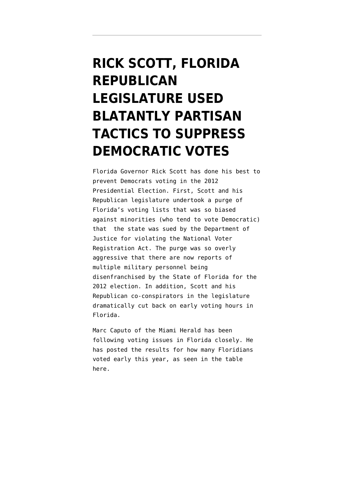# **[RICK SCOTT, FLORIDA](https://www.emptywheel.net/2012/11/05/rick-scott-florida-republican-legislature-used-blatantly-partisan-tactics-to-suppress-democratic-votes/) [REPUBLICAN](https://www.emptywheel.net/2012/11/05/rick-scott-florida-republican-legislature-used-blatantly-partisan-tactics-to-suppress-democratic-votes/) [LEGISLATURE USED](https://www.emptywheel.net/2012/11/05/rick-scott-florida-republican-legislature-used-blatantly-partisan-tactics-to-suppress-democratic-votes/) [BLATANTLY PARTISAN](https://www.emptywheel.net/2012/11/05/rick-scott-florida-republican-legislature-used-blatantly-partisan-tactics-to-suppress-democratic-votes/) [TACTICS TO SUPPRESS](https://www.emptywheel.net/2012/11/05/rick-scott-florida-republican-legislature-used-blatantly-partisan-tactics-to-suppress-democratic-votes/) [DEMOCRATIC VOTES](https://www.emptywheel.net/2012/11/05/rick-scott-florida-republican-legislature-used-blatantly-partisan-tactics-to-suppress-democratic-votes/)**

Florida Governor Rick Scott has done his best to prevent Democrats voting in the 2012 Presidential Election. First, Scott and his Republican legislature undertook a purge of Florida's voting lists that was so biased against minorities (who tend to vote Democratic) that the state was [sued by the Department of](http://www.justice.gov/opa/pr/2012/June/12-crt-746.html) [Justice](http://www.justice.gov/opa/pr/2012/June/12-crt-746.html) for violating the National Voter Registration Act. The purge was so overly aggressive that there are now reports of [multiple military personnel being](http://www.wtsp.com/news/topstories/article/280780/250/ProtectYourVote-Service-members-removed-from-voting-rolls) [disenfranchised by the State of Florida](http://www.wtsp.com/news/topstories/article/280780/250/ProtectYourVote-Service-members-removed-from-voting-rolls) for the 2012 election. In addition, Scott and his Republican co-conspirators in the legislature dramatically cut back on early voting hours in Florida.

Marc Caputo of the Miami Herald has been following voting issues in Florida closely. He has [posted the results for how many Floridians](http://miamiherald.typepad.com/nakedpolitics/2012/11/day-before-election-day-outlook-45-have-voted-ds-lead-rs-by-167000-ballots.html) [voted early](http://miamiherald.typepad.com/nakedpolitics/2012/11/day-before-election-day-outlook-45-have-voted-ds-lead-rs-by-167000-ballots.html) this year, as seen in the table here.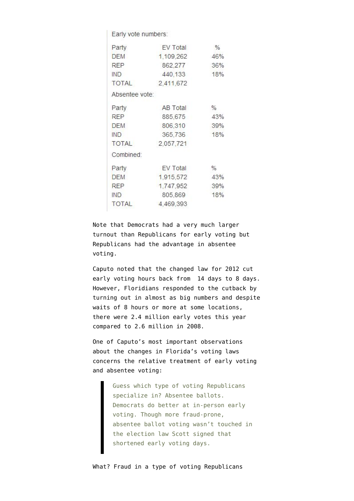Early vote numbers:

| Party          | <b>EV Total</b> | $\%$ |
|----------------|-----------------|------|
| <b>DEM</b>     | 1,109,262       | 46%  |
| <b>RFP</b>     | 862,277         | 36%  |
| IND            | 440,133         | 18%  |
| <b>TOTAL</b>   | 2,411,672       |      |
| Absentee vote: |                 |      |
| Party          | AB Total        | $\%$ |
| <b>REP</b>     | 885,675         | 43%  |
| <b>DEM</b>     | 806,310         | 39%  |
| IND            | 365,736         | 18%  |
| <b>TOTAL</b>   | 2,057,721       |      |
| Combined:      |                 |      |
| Party          | EV Total        | %    |
| <b>DEM</b>     | 1,915,572       | 43%  |
| <b>REP</b>     | 1,747,952       | 39%  |
| IND            | 805,869         | 18%  |
| <b>TOTAL</b>   | 4,469,393       |      |
|                |                 |      |

Note that Democrats had a very much larger turnout than Republicans for early voting but Republicans had the advantage in absentee voting.

Caputo noted that the changed law for 2012 cut early voting hours back from 14 days to 8 days. However, Floridians responded to the cutback by turning out in almost as big numbers and despite waits of 8 hours or more at some locations, there were 2.4 million early votes this year compared to 2.6 million in 2008.

One of Caputo's most important observations about the changes in Florida's voting laws concerns the relative treatment of early voting and absentee voting:

> Guess which type of voting Republicans specialize in? Absentee ballots. Democrats do better at in-person early voting. Though more fraud-prone, absentee ballot voting wasn't touched in the election law Scott signed that shortened early voting days.

What? Fraud in a type of voting Republicans